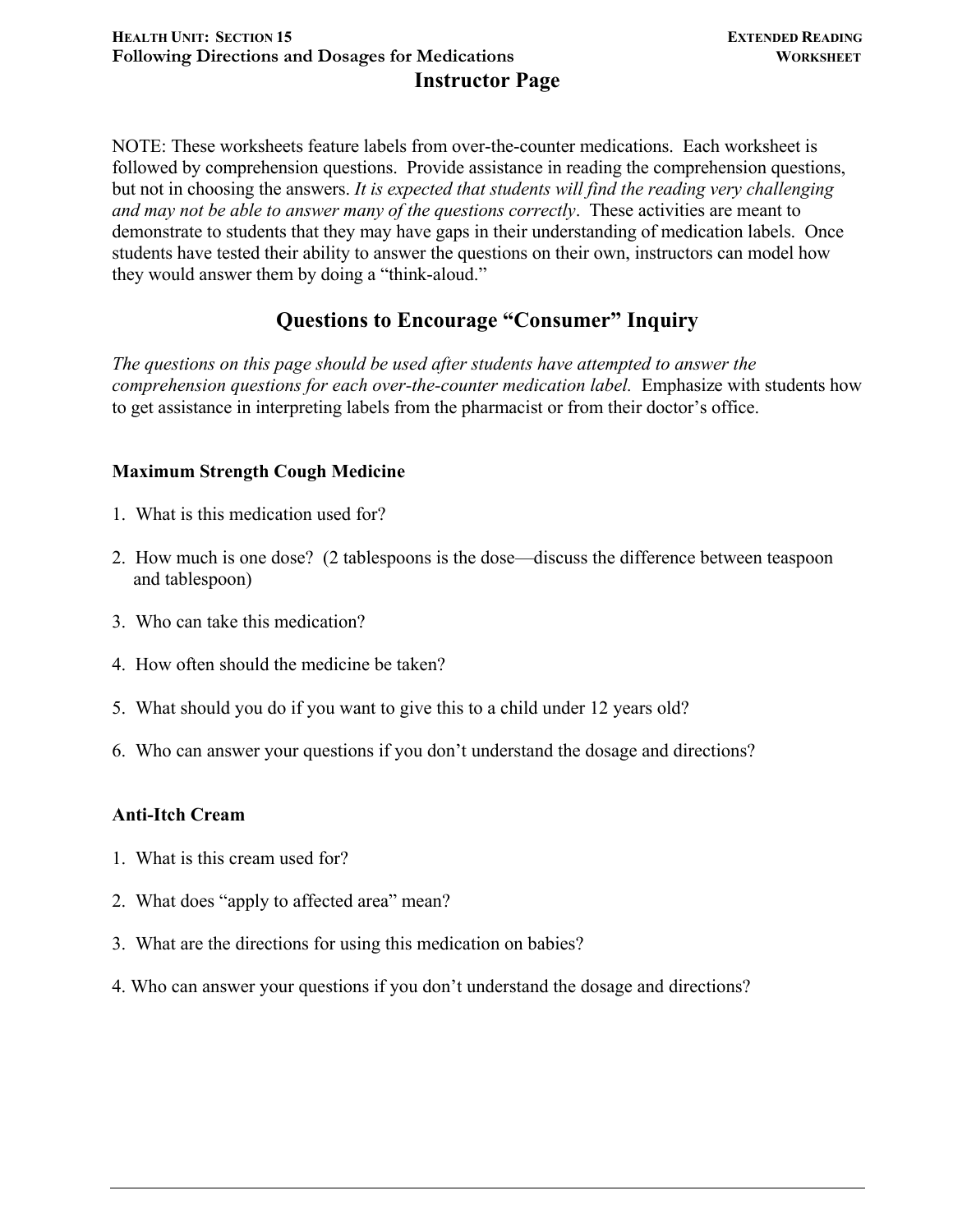NOTE: These worksheets feature labels from over-the-counter medications. Each worksheet is followed by comprehension questions. Provide assistance in reading the comprehension questions, but not in choosing the answers. *It is expected that students will find the reading very challenging and may not be able to answer many of the questions correctly*. These activities are meant to demonstrate to students that they may have gaps in their understanding of medication labels. Once students have tested their ability to answer the questions on their own, instructors can model how they would answer them by doing a "think-aloud."

## **Questions to Encourage "Consumer" Inquiry**

*The questions on this page should be used after students have attempted to answer the comprehension questions for each over-the-counter medication label.* Emphasize with students how to get assistance in interpreting labels from the pharmacist or from their doctor's office.

## **Maximum Strength Cough Medicine**

- 1. What is this medication used for?
- 2. How much is one dose? (2 tablespoons is the dose—discuss the difference between teaspoon and tablespoon)
- 3. Who can take this medication?
- 4. How often should the medicine be taken?
- 5. What should you do if you want to give this to a child under 12 years old?
- 6. Who can answer your questions if you don't understand the dosage and directions?

## **Anti-Itch Cream**

- 1. What is this cream used for?
- 2. What does "apply to affected area" mean?
- 3. What are the directions for using this medication on babies?
- 4. Who can answer your questions if you don't understand the dosage and directions?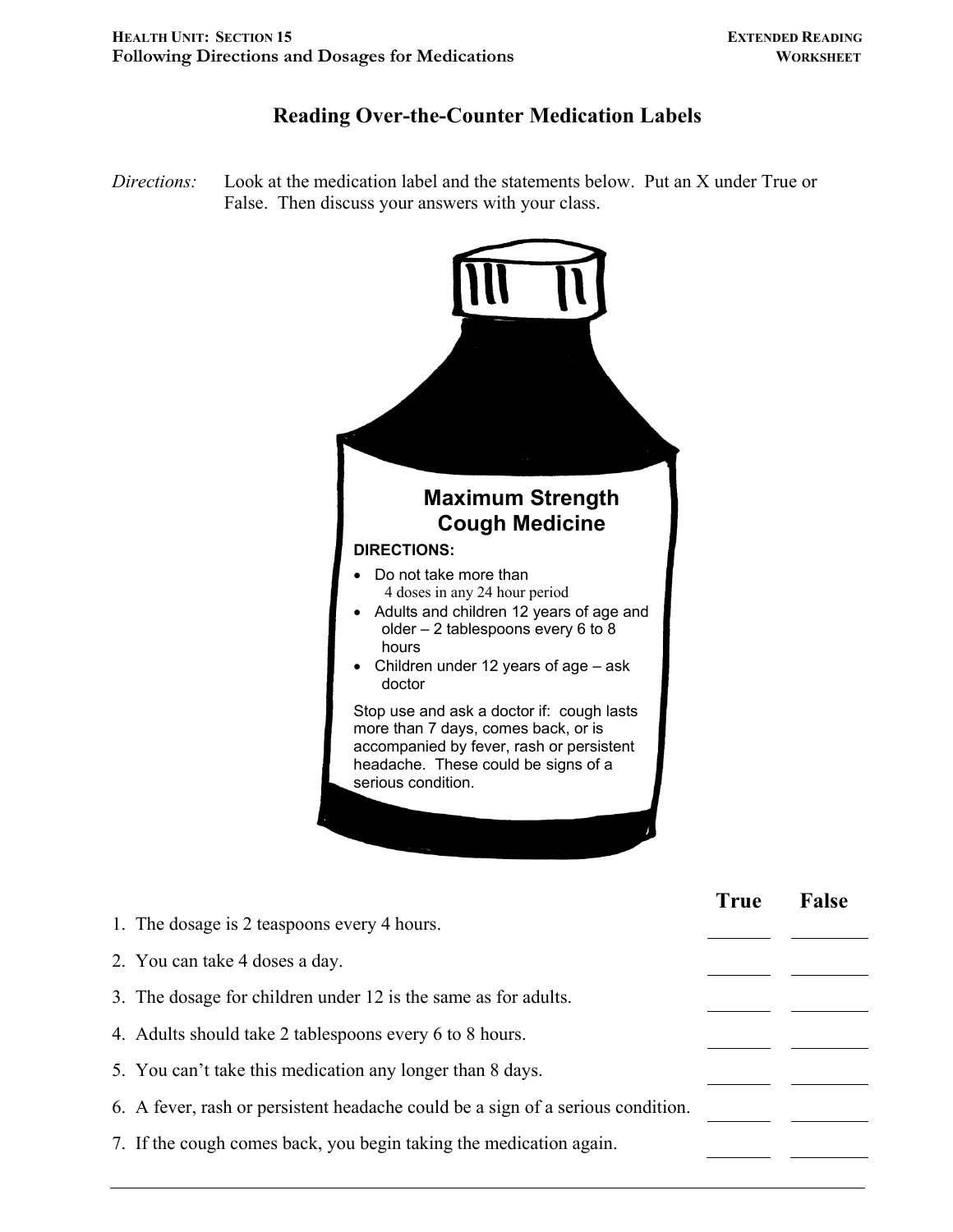## **Reading Over-the-Counter Medication Labels**

*Directions:* Look at the medication label and the statements below. Put an X under True or False. Then discuss your answers with your class.



|                                                                                 | <b>True</b> | <b>False</b> |
|---------------------------------------------------------------------------------|-------------|--------------|
| 1. The dosage is 2 teaspoons every 4 hours.                                     |             |              |
| 2. You can take 4 doses a day.                                                  |             |              |
| 3. The dosage for children under 12 is the same as for adults.                  |             |              |
| 4. Adults should take 2 tablespoons every 6 to 8 hours.                         |             |              |
| 5. You can't take this medication any longer than 8 days.                       |             |              |
| 6. A fever, rash or persistent headache could be a sign of a serious condition. |             |              |
| 7. If the cough comes back, you begin taking the medication again.              |             |              |
|                                                                                 |             |              |